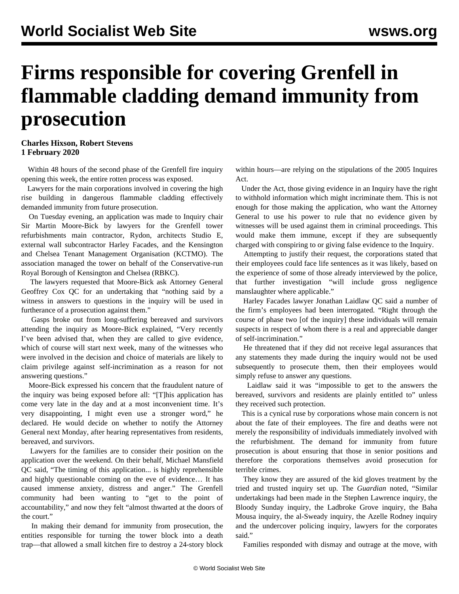## **Firms responsible for covering Grenfell in flammable cladding demand immunity from prosecution**

## **Charles Hixson, Robert Stevens 1 February 2020**

 Within 48 hours of the second phase of the Grenfell fire inquiry opening this week, the entire rotten process was exposed.

 Lawyers for the main corporations involved in covering the high rise building in dangerous flammable cladding effectively demanded immunity from future prosecution.

 On Tuesday evening, an application was made to Inquiry chair Sir Martin Moore-Bick by lawyers for the Grenfell tower refurbishments main contractor, Rydon, architects Studio E, external wall subcontractor Harley Facades, and the Kensington and Chelsea Tenant Management Organisation (KCTMO). The association managed the tower on behalf of the Conservative-run Royal Borough of Kensington and Chelsea (RBKC).

 The lawyers requested that Moore-Bick ask Attorney General Geoffrey Cox QC for an undertaking that "nothing said by a witness in answers to questions in the inquiry will be used in furtherance of a prosecution against them."

 Gasps broke out from long-suffering bereaved and survivors attending the inquiry as Moore-Bick explained, "Very recently I've been advised that, when they are called to give evidence, which of course will start next week, many of the witnesses who were involved in the decision and choice of materials are likely to claim privilege against self-incrimination as a reason for not answering questions."

 Moore-Bick expressed his concern that the fraudulent nature of the inquiry was being exposed before all: "[T]his application has come very late in the day and at a most inconvenient time. It's very disappointing, I might even use a stronger word," he declared. He would decide on whether to notify the Attorney General next Monday, after hearing representatives from residents, bereaved, and survivors.

 Lawyers for the families are to consider their position on the application over the weekend. On their behalf, Michael Mansfield QC said, "The timing of this application... is highly reprehensible and highly questionable coming on the eve of evidence… It has caused immense anxiety, distress and anger." The Grenfell community had been wanting to "get to the point of accountability," and now they felt "almost thwarted at the doors of the court."

 In making their demand for immunity from prosecution, the entities responsible for turning the tower block into a death trap—that allowed a small kitchen fire to destroy a 24-story block

within hours—are relying on the stipulations of the 2005 Inquires Act.

 Under the Act, those giving evidence in an Inquiry have the right to withhold information which might incriminate them. This is not enough for those making the application, who want the Attorney General to use his power to rule that no evidence given by witnesses will be used against them in criminal proceedings. This would make them immune, except if they are subsequently charged with conspiring to or giving false evidence to the Inquiry.

 Attempting to justify their request, the corporations stated that their employees could face life sentences as it was likely, based on the experience of some of those already interviewed by the police, that further investigation "will include gross negligence manslaughter where applicable."

 Harley Facades lawyer Jonathan Laidlaw QC said a number of the firm's employees had been interrogated. "Right through the course of phase two [of the inquiry] these individuals will remain suspects in respect of whom there is a real and appreciable danger of self-incrimination."

 He threatened that if they did not receive legal assurances that any statements they made during the inquiry would not be used subsequently to prosecute them, then their employees would simply refuse to answer any questions.

 Laidlaw said it was "impossible to get to the answers the bereaved, survivors and residents are plainly entitled to" unless they received such protection.

 This is a cynical ruse by corporations whose main concern is not about the fate of their employees. The fire and deaths were not merely the responsibility of individuals immediately involved with the refurbishment. The demand for immunity from future prosecution is about ensuring that those in senior positions and therefore the corporations themselves avoid prosecution for terrible crimes.

 They know they are assured of the kid gloves treatment by the tried and trusted inquiry set up. The *Guardian* noted, "Similar undertakings had been made in the Stephen Lawrence inquiry, the Bloody Sunday inquiry, the Ladbroke Grove inquiry, the Baha Mousa inquiry, the al-Sweady inquiry, the Azelle Rodney inquiry and the undercover policing inquiry, lawyers for the corporates said."

Families responded with dismay and outrage at the move, with